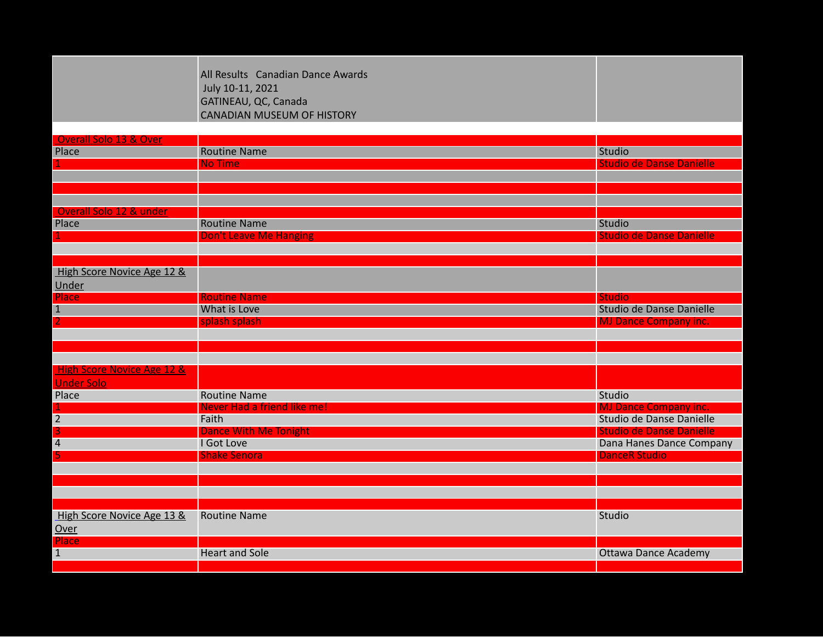|                                           | All Results Canadian Dance Awards<br>July 10-11, 2021<br>GATINEAU, QC, Canada<br><b>CANADIAN MUSEUM OF HISTORY</b> |                                                             |
|-------------------------------------------|--------------------------------------------------------------------------------------------------------------------|-------------------------------------------------------------|
|                                           |                                                                                                                    |                                                             |
| Overall Solo 13 & Over<br>Place           | <b>Routine Name</b>                                                                                                | <b>Studio</b>                                               |
|                                           | <b>No Time</b>                                                                                                     | <b>Studio de Danse Danielle</b>                             |
|                                           |                                                                                                                    |                                                             |
|                                           |                                                                                                                    |                                                             |
|                                           |                                                                                                                    |                                                             |
| Overall Solo 12 & under                   |                                                                                                                    |                                                             |
| Place                                     | <b>Routine Name</b>                                                                                                | Studio                                                      |
|                                           | <b>Don't Leave Me Hanging</b>                                                                                      | <b>Studio de Danse Danielle</b>                             |
|                                           |                                                                                                                    |                                                             |
|                                           |                                                                                                                    |                                                             |
| High Score Novice Age 12 &                |                                                                                                                    |                                                             |
| Under                                     |                                                                                                                    |                                                             |
| <b>Place</b>                              | <b>Routine Name</b>                                                                                                | <b>Studio</b>                                               |
| $\mathbf{1}$                              | What is Love                                                                                                       | Studio de Danse Danielle                                    |
| 2                                         | splash splash                                                                                                      | <b>MJ Dance Company inc.</b>                                |
|                                           |                                                                                                                    |                                                             |
|                                           |                                                                                                                    |                                                             |
|                                           |                                                                                                                    |                                                             |
| <b>High Score Novice Age 12 &amp;</b>     |                                                                                                                    |                                                             |
| <b>Under Solo</b>                         |                                                                                                                    |                                                             |
| Place                                     | <b>Routine Name</b>                                                                                                | Studio                                                      |
|                                           | Never Had a friend like me!                                                                                        | <b>MJ Dance Company inc.</b>                                |
| $\overline{2}$                            | Faith                                                                                                              | Studio de Danse Danielle                                    |
| $\overline{\mathbf{3}}$<br>$\overline{4}$ | <b>Dance With Me Tonight</b><br>I Got Love                                                                         | <b>Studio de Danse Danielle</b><br>Dana Hanes Dance Company |
|                                           | <b>Shake Senora</b>                                                                                                | <b>DanceR Studio</b>                                        |
|                                           |                                                                                                                    |                                                             |
|                                           |                                                                                                                    |                                                             |
|                                           |                                                                                                                    |                                                             |
|                                           |                                                                                                                    |                                                             |
| High Score Novice Age 13 &                | <b>Routine Name</b>                                                                                                | Studio                                                      |
| Over                                      |                                                                                                                    |                                                             |
| <b>Place</b>                              |                                                                                                                    |                                                             |
| $\mathbf{1}$                              | <b>Heart and Sole</b>                                                                                              | <b>Ottawa Dance Academy</b>                                 |
|                                           |                                                                                                                    |                                                             |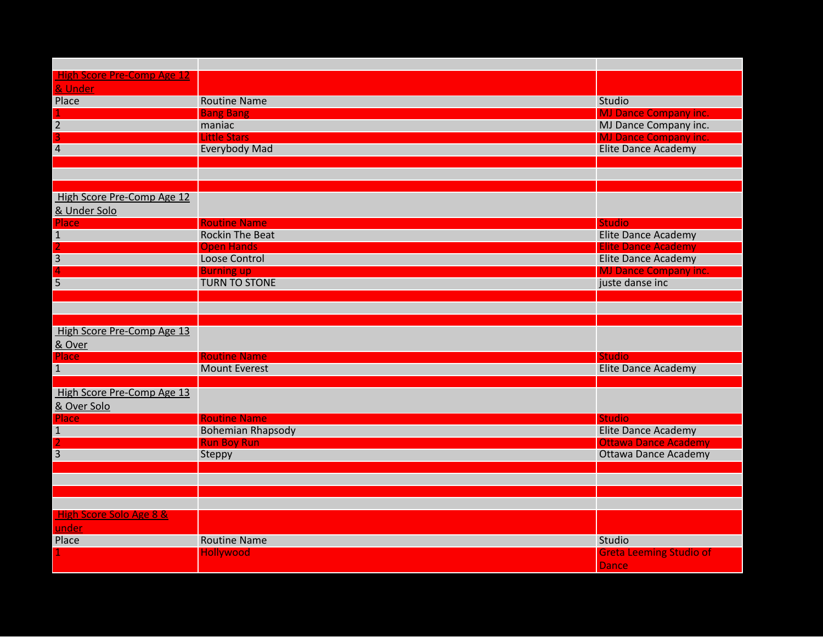| <b>High Score Pre-Comp Age 12</b>  |                                               |                                             |
|------------------------------------|-----------------------------------------------|---------------------------------------------|
| & Under                            |                                               |                                             |
| Place                              | <b>Routine Name</b>                           | Studio                                      |
|                                    | <b>Bang Bang</b>                              | <b>MJ Dance Company inc.</b>                |
| $\overline{2}$                     | maniac                                        | MJ Dance Company inc.                       |
| 3                                  | <b>Little Stars</b>                           | <b>MJ Dance Company inc.</b>                |
| $\overline{4}$                     | <b>Everybody Mad</b>                          | <b>Elite Dance Academy</b>                  |
|                                    |                                               |                                             |
|                                    |                                               |                                             |
|                                    |                                               |                                             |
| High Score Pre-Comp Age 12         |                                               |                                             |
| & Under Solo                       |                                               |                                             |
| Place                              | <b>Routine Name</b><br><b>Rockin The Beat</b> | <b>Studio</b><br><b>Elite Dance Academy</b> |
| $\mathbf{1}$<br>2                  | <b>Open Hands</b>                             | <b>Elite Dance Academy</b>                  |
| $\overline{3}$                     | Loose Control                                 | <b>Elite Dance Academy</b>                  |
| 4                                  | <b>Burning up</b>                             | <b>MJ Dance Company inc.</b>                |
| 5                                  | <b>TURN TO STONE</b>                          | juste danse inc                             |
|                                    |                                               |                                             |
|                                    |                                               |                                             |
|                                    |                                               |                                             |
| High Score Pre-Comp Age 13         |                                               |                                             |
| & Over                             |                                               |                                             |
| <b>Place</b>                       | <b>Routine Name</b>                           | <b>Studio</b>                               |
| $\mathbf{1}$                       | <b>Mount Everest</b>                          | <b>Elite Dance Academy</b>                  |
|                                    |                                               |                                             |
| High Score Pre-Comp Age 13         |                                               |                                             |
| & Over Solo                        |                                               |                                             |
| Place                              | <b>Routine Name</b>                           | <b>Studio</b>                               |
| $\mathbf{1}$                       | <b>Bohemian Rhapsody</b>                      | <b>Elite Dance Academy</b>                  |
|                                    | <b>Run Boy Run</b>                            | <b>Ottawa Dance Academy</b>                 |
| $\overline{3}$                     | Steppy                                        | <b>Ottawa Dance Academy</b>                 |
|                                    |                                               |                                             |
|                                    |                                               |                                             |
|                                    |                                               |                                             |
|                                    |                                               |                                             |
| <b>High Score Solo Age 8 &amp;</b> |                                               |                                             |
| under                              |                                               |                                             |
| Place                              | <b>Routine Name</b>                           | Studio                                      |
|                                    | <b>Hollywood</b>                              | <b>Greta Leeming Studio of</b>              |
|                                    |                                               | <b>Dance</b>                                |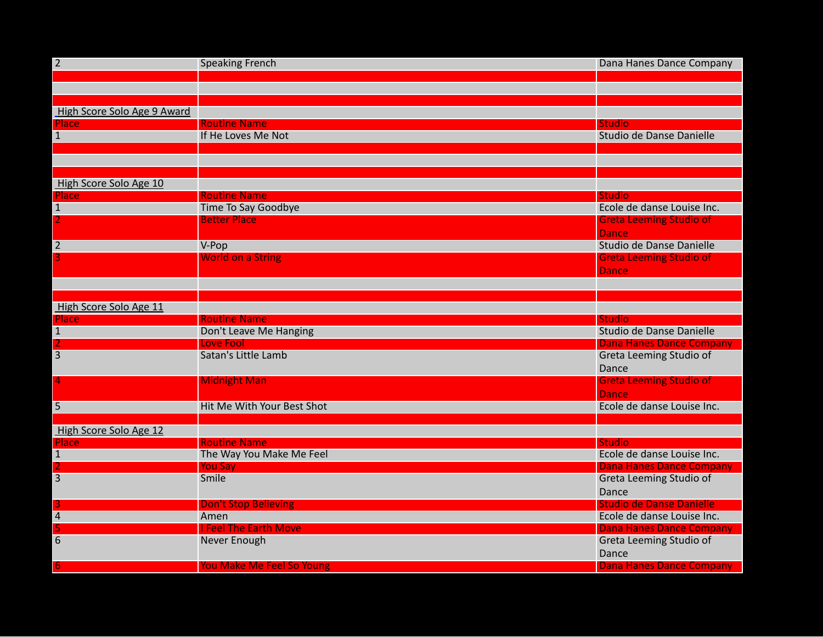| $\overline{2}$                  | <b>Speaking French</b>                            | Dana Hanes Dance Company                    |
|---------------------------------|---------------------------------------------------|---------------------------------------------|
|                                 |                                                   |                                             |
|                                 |                                                   |                                             |
|                                 |                                                   |                                             |
| High Score Solo Age 9 Award     |                                                   |                                             |
| <b>Place</b>                    | <b>Routine Name</b>                               | <b>Studio</b>                               |
| $\mathbf{1}$                    | If He Loves Me Not                                | Studio de Danse Danielle                    |
|                                 |                                                   |                                             |
|                                 |                                                   |                                             |
|                                 |                                                   |                                             |
| High Score Solo Age 10          |                                                   |                                             |
| Place                           | <b>Routine Name</b><br><b>Time To Say Goodbye</b> | <b>Studio</b><br>Ecole de danse Louise Inc. |
| $\mathbf{1}$<br>$\overline{2}$  | <b>Better Place</b>                               |                                             |
|                                 |                                                   | <b>Greta Leeming Studio of</b>              |
|                                 |                                                   | <b>Dance</b>                                |
| $\overline{2}$<br>3             | V-Pop                                             | Studio de Danse Danielle                    |
|                                 | <b>World on a String</b>                          | <b>Greta Leeming Studio of</b>              |
|                                 |                                                   | <b>Dance</b>                                |
|                                 |                                                   |                                             |
|                                 |                                                   |                                             |
| High Score Solo Age 11          | <b>Routine Name</b>                               |                                             |
| Place                           | Don't Leave Me Hanging                            | <b>Studio</b><br>Studio de Danse Danielle   |
| $\mathbf{1}$                    | <b>Love Fool</b>                                  | <b>Dana Hanes Dance Company</b>             |
| $\overline{3}$                  | Satan's Little Lamb                               | <b>Greta Leeming Studio of</b>              |
|                                 |                                                   | Dance                                       |
| 4                               | <b>Midnight Man</b>                               |                                             |
|                                 |                                                   | <b>Greta Leeming Studio of</b>              |
|                                 |                                                   | <b>Dance</b>                                |
| $\overline{5}$                  | Hit Me With Your Best Shot                        | Ecole de danse Louise Inc.                  |
|                                 |                                                   |                                             |
| High Score Solo Age 12<br>Place | <b>Routine Name</b>                               | <b>Studio</b>                               |
| $\mathbf{1}$                    | The Way You Make Me Feel                          | Ecole de danse Louise Inc.                  |
| 2                               | <b>You Say</b>                                    | <b>Dana Hanes Dance Company</b>             |
| $\overline{3}$                  | Smile                                             | Greta Leeming Studio of                     |
|                                 |                                                   | Dance                                       |
|                                 | <b>Don't Stop Believing</b>                       | <b>Studio de Danse Danielle</b>             |
| 3<br>$\overline{4}$             | Amen                                              | Ecole de danse Louise Inc.                  |
| 5                               | <b>I Feel The Earth Move</b>                      | <b>Dana Hanes Dance Company</b>             |
| 6                               | Never Enough                                      | Greta Leeming Studio of                     |
|                                 |                                                   | Dance                                       |
| 6.                              | <b>You Make Me Feel So Young</b>                  | <b>Dana Hanes Dance Company</b>             |
|                                 |                                                   |                                             |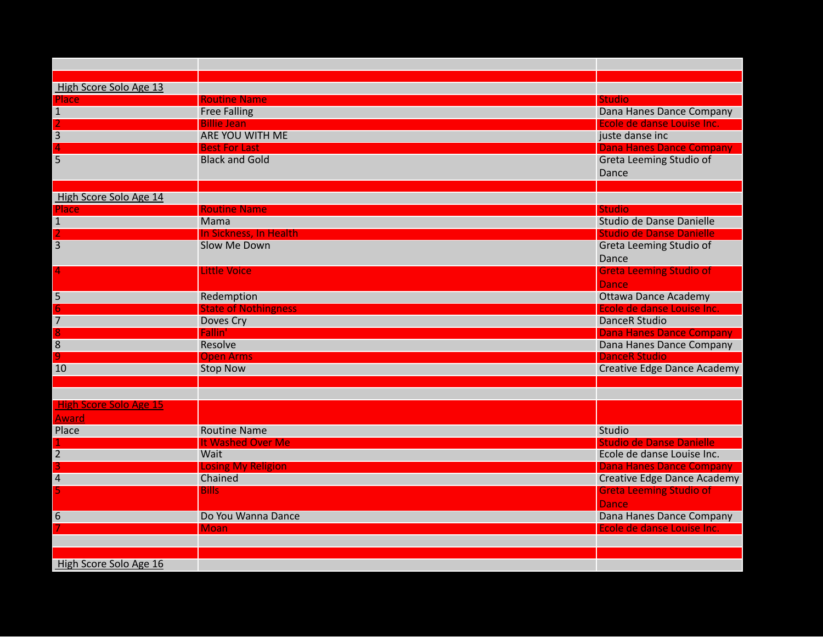| High Score Solo Age 13        |                             |                                    |
|-------------------------------|-----------------------------|------------------------------------|
| Place                         | <b>Routine Name</b>         | <b>Studio</b>                      |
| $\mathbf{1}$                  | <b>Free Falling</b>         | Dana Hanes Dance Company           |
|                               | <b>Billie Jean</b>          | Ecole de danse Louise Inc.         |
| 3                             | ARE YOU WITH ME             | juste danse inc                    |
| $\overline{4}$                | <b>Best For Last</b>        | <b>Dana Hanes Dance Company</b>    |
| 5                             | <b>Black and Gold</b>       | Greta Leeming Studio of            |
|                               |                             | Dance                              |
|                               |                             |                                    |
| High Score Solo Age 14        |                             |                                    |
| Place                         | <b>Routine Name</b>         | <b>Studio</b>                      |
| $\mathbf{1}$                  | Mama                        | Studio de Danse Danielle           |
| $\overline{2}$                | In Sickness, In Health      | <b>Studio de Danse Danielle</b>    |
| $\overline{3}$                | Slow Me Down                | <b>Greta Leeming Studio of</b>     |
|                               |                             | Dance                              |
| 4                             | <b>Little Voice</b>         | <b>Greta Leeming Studio of</b>     |
|                               |                             | <b>Dance</b>                       |
| 5                             | Redemption                  | <b>Ottawa Dance Academy</b>        |
| 6                             | <b>State of Nothingness</b> | Ecole de danse Louise Inc.         |
| $\overline{7}$                | Doves Cry                   | <b>DanceR Studio</b>               |
|                               | Fallin'                     | <b>Dana Hanes Dance Company</b>    |
| 8                             | Resolve                     | Dana Hanes Dance Company           |
|                               | <b>Open Arms</b>            | <b>DanceR Studio</b>               |
| 10                            | <b>Stop Now</b>             | <b>Creative Edge Dance Academy</b> |
|                               |                             |                                    |
|                               |                             |                                    |
| <b>High Score Solo Age 15</b> |                             |                                    |
| <b>Award</b>                  |                             |                                    |
| Place                         | <b>Routine Name</b>         | Studio                             |
|                               | It Washed Over Me           | <b>Studio de Danse Danielle</b>    |
| $\overline{2}$                | Wait                        | Ecole de danse Louise Inc.         |
| 3                             | <b>Losing My Religion</b>   | <b>Dana Hanes Dance Company</b>    |
| $\overline{4}$                | Chained                     | <b>Creative Edge Dance Academy</b> |
|                               | <b>Bills</b>                | <b>Greta Leeming Studio of</b>     |
|                               |                             | <b>Dance</b>                       |
| 6                             | Do You Wanna Dance          | Dana Hanes Dance Company           |
|                               | Moan                        | Ecole de danse Louise Inc.         |
|                               |                             |                                    |
|                               |                             |                                    |
| High Score Solo Age 16        |                             |                                    |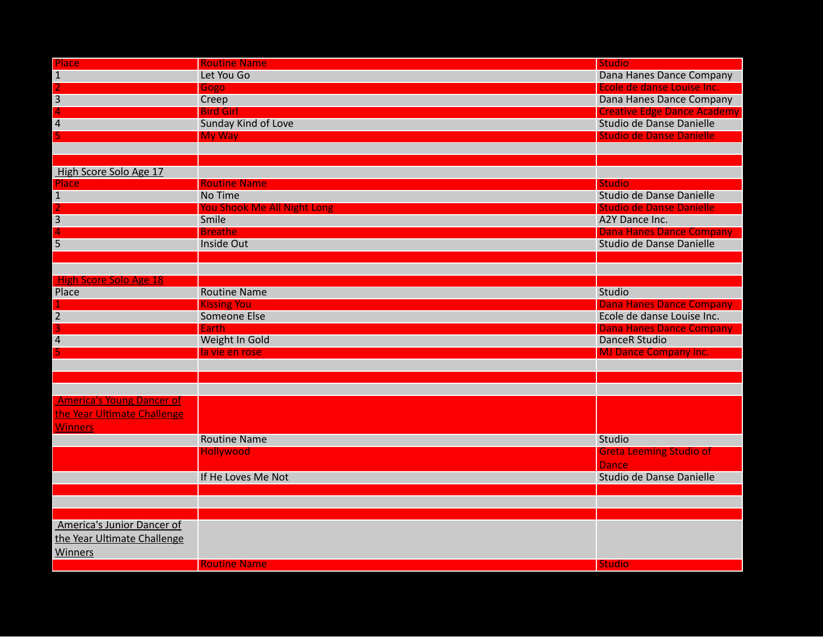| Place                            | <b>Routine Name</b>         | <b>Studio</b>                      |
|----------------------------------|-----------------------------|------------------------------------|
| $\mathbf{1}$                     | Let You Go                  | Dana Hanes Dance Company           |
| $\overline{2}$                   | Gogo                        | Ecole de danse Louise Inc.         |
| $\overline{3}$                   | Creep                       | Dana Hanes Dance Company           |
| $\Delta$                         | <b>Bird Girl</b>            | <b>Creative Edge Dance Academy</b> |
| 4                                | <b>Sunday Kind of Love</b>  | Studio de Danse Danielle           |
|                                  | <b>My Way</b>               | <b>Studio de Danse Danielle</b>    |
|                                  |                             |                                    |
| High Score Solo Age 17           |                             |                                    |
|                                  | <b>Routine Name</b>         | <b>Studio</b>                      |
| <b>Place</b><br>$\mathbf{1}$     | No Time                     | Studio de Danse Danielle           |
|                                  | You Shook Me All Night Long | <b>Studio de Danse Danielle</b>    |
| $\overline{3}$                   | Smile                       | A2Y Dance Inc.                     |
|                                  | <b>Breathe</b>              | <b>Dana Hanes Dance Company</b>    |
| $\overline{5}$                   | <b>Inside Out</b>           | Studio de Danse Danielle           |
|                                  |                             |                                    |
|                                  |                             |                                    |
| High Score Solo Age 18           |                             |                                    |
| Place                            | <b>Routine Name</b>         | Studio                             |
|                                  | <b>Kissing You</b>          | <b>Dana Hanes Dance Company</b>    |
| $\overline{2}$                   | Someone Else                | Ecole de danse Louise Inc.         |
| 3                                | Earth                       | <b>Dana Hanes Dance Company</b>    |
| 4                                | Weight In Gold              | <b>DanceR Studio</b>               |
|                                  | la vie en rose              | <b>MJ Dance Company inc.</b>       |
|                                  |                             |                                    |
|                                  |                             |                                    |
|                                  |                             |                                    |
| <b>America's Young Dancer of</b> |                             |                                    |
| the Year Ultimate Challenge      |                             |                                    |
| <b>Winners</b>                   |                             |                                    |
|                                  | <b>Routine Name</b>         | Studio                             |
|                                  | <b>Hollywood</b>            | <b>Greta Leeming Studio of</b>     |
|                                  |                             | <b>Dance</b>                       |
|                                  | If He Loves Me Not          | Studio de Danse Danielle           |
|                                  |                             |                                    |
|                                  |                             |                                    |
|                                  |                             |                                    |
| America's Junior Dancer of       |                             |                                    |
| the Year Ultimate Challenge      |                             |                                    |
| <b>Winners</b>                   |                             |                                    |
|                                  | <b>Routine Name</b>         | <b>Studio</b>                      |
|                                  |                             |                                    |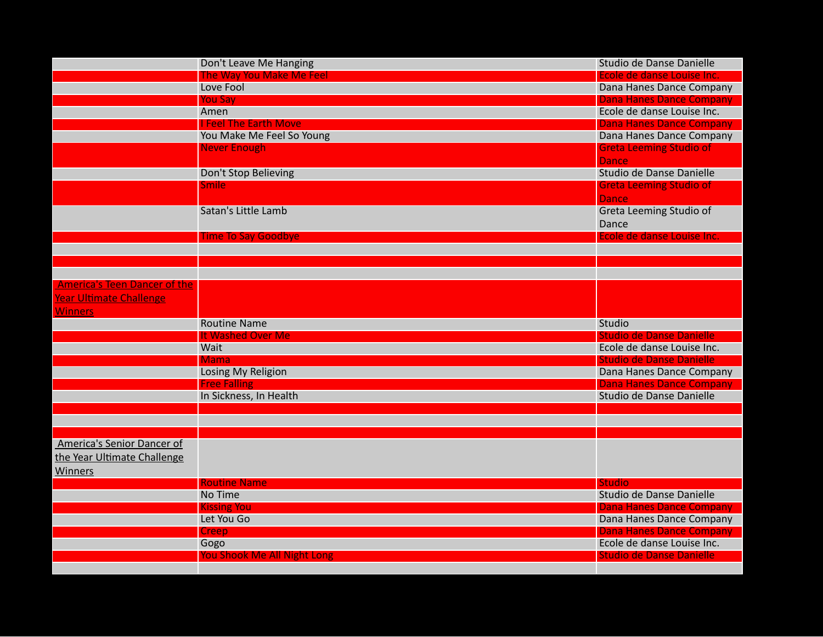|                                     | Don't Leave Me Hanging             | Studio de Danse Danielle                  |
|-------------------------------------|------------------------------------|-------------------------------------------|
|                                     | The Way You Make Me Feel           | Ecole de danse Louise Inc.                |
|                                     | Love Fool                          | Dana Hanes Dance Company                  |
|                                     | <b>You Say</b>                     | <b>Dana Hanes Dance Company</b>           |
|                                     | Amen                               | Ecole de danse Louise Inc.                |
|                                     | <b>I Feel The Earth Move</b>       | <b>Dana Hanes Dance Company</b>           |
|                                     | You Make Me Feel So Young          | Dana Hanes Dance Company                  |
|                                     | <b>Never Enough</b>                | <b>Greta Leeming Studio of</b>            |
|                                     |                                    | <b>Dance</b>                              |
|                                     | Don't Stop Believing               | Studio de Danse Danielle                  |
|                                     | <b>Smile</b>                       | <b>Greta Leeming Studio of</b>            |
|                                     |                                    | <b>Dance</b>                              |
|                                     | Satan's Little Lamb                | Greta Leeming Studio of                   |
|                                     |                                    | Dance                                     |
|                                     | <b>Time To Say Goodbye</b>         | Ecole de danse Louise Inc.                |
|                                     |                                    |                                           |
|                                     |                                    |                                           |
|                                     |                                    |                                           |
| <b>America's Teen Dancer of the</b> |                                    |                                           |
| <b>Year Ultimate Challenge</b>      |                                    |                                           |
| <b>Winners</b>                      |                                    |                                           |
|                                     | <b>Routine Name</b>                | Studio                                    |
|                                     | It Washed Over Me                  | <b>Studio de Danse Danielle</b>           |
|                                     | Wait                               | Ecole de danse Louise Inc.                |
|                                     | <b>Mama</b>                        | <b>Studio de Danse Danielle</b>           |
|                                     | Losing My Religion                 | Dana Hanes Dance Company                  |
|                                     | <b>Free Falling</b>                | <b>Dana Hanes Dance Company</b>           |
|                                     | In Sickness, In Health             | Studio de Danse Danielle                  |
|                                     |                                    |                                           |
|                                     |                                    |                                           |
|                                     |                                    |                                           |
| America's Senior Dancer of          |                                    |                                           |
| the Year Ultimate Challenge         |                                    |                                           |
|                                     |                                    |                                           |
| <b>Winners</b>                      | <b>Routine Name</b>                |                                           |
|                                     | No Time                            | <b>Studio</b><br>Studio de Danse Danielle |
|                                     |                                    | <b>Dana Hanes Dance Company</b>           |
|                                     | <b>Kissing You</b><br>Let You Go   | Dana Hanes Dance Company                  |
|                                     |                                    | <b>Dana Hanes Dance Company</b>           |
|                                     | Creep                              | Ecole de danse Louise Inc.                |
|                                     | Gogo                               |                                           |
|                                     | <b>You Shook Me All Night Long</b> | <b>Studio de Danse Danielle</b>           |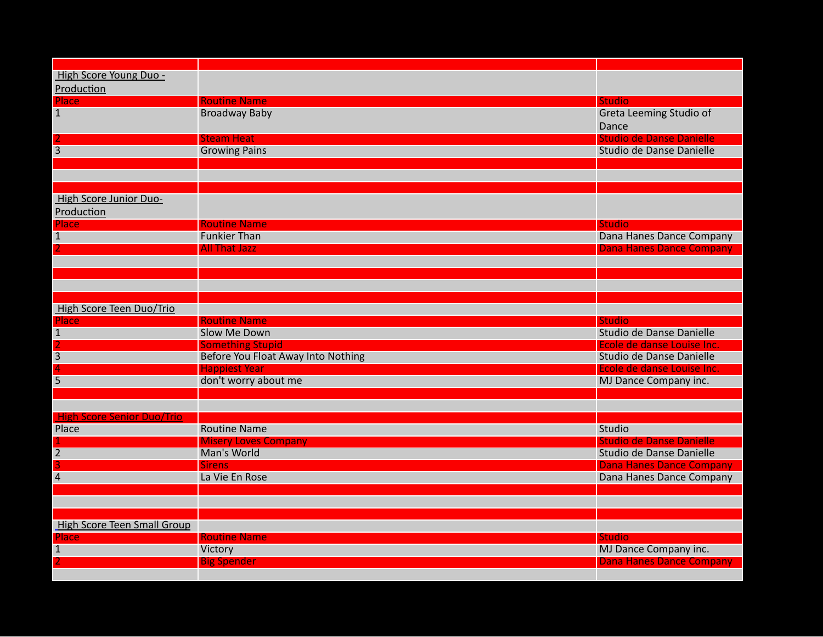| High Score Young Duo -             |                                    |                                                          |
|------------------------------------|------------------------------------|----------------------------------------------------------|
| Production                         |                                    |                                                          |
| Place                              | <b>Routine Name</b>                | <b>Studio</b>                                            |
| $\mathbf{1}$                       | <b>Broadway Baby</b>               | Greta Leeming Studio of                                  |
|                                    |                                    | Dance                                                    |
|                                    | <b>Steam Heat</b>                  | <b>Studio de Danse Danielle</b>                          |
| $\overline{3}$                     | <b>Growing Pains</b>               | Studio de Danse Danielle                                 |
|                                    |                                    |                                                          |
|                                    |                                    |                                                          |
|                                    |                                    |                                                          |
| High Score Junior Duo-             |                                    |                                                          |
| Production                         |                                    |                                                          |
| <b>Place</b>                       | <b>Routine Name</b>                | <b>Studio</b>                                            |
| 1                                  | <b>Funkier Than</b>                | Dana Hanes Dance Company                                 |
|                                    | <b>All That Jazz</b>               | <b>Dana Hanes Dance Company</b>                          |
|                                    |                                    |                                                          |
|                                    |                                    |                                                          |
|                                    |                                    |                                                          |
|                                    |                                    |                                                          |
| High Score Teen Duo/Trio           | <b>Routine Name</b>                | <b>Studio</b>                                            |
| Place<br>$\mathbf{1}$              | Slow Me Down                       | Studio de Danse Danielle                                 |
|                                    | <b>Something Stupid</b>            | Ecole de danse Louise Inc.                               |
| 3                                  | Before You Float Away Into Nothing | Studio de Danse Danielle                                 |
|                                    | <b>Happiest Year</b>               | Ecole de danse Louise Inc.                               |
| $\overline{5}$                     | don't worry about me               | MJ Dance Company inc.                                    |
|                                    |                                    |                                                          |
|                                    |                                    |                                                          |
| <b>High Score Senior Duo/Trio</b>  |                                    |                                                          |
| Place                              | <b>Routine Name</b>                | Studio                                                   |
|                                    | <b>Misery Loves Company</b>        | <b>Studio de Danse Danielle</b>                          |
| $\overline{2}$                     | Man's World                        | Studio de Danse Danielle                                 |
| 3                                  | <b>Sirens</b>                      | <b>Dana Hanes Dance Company</b>                          |
| $\overline{4}$                     | La Vie En Rose                     | Dana Hanes Dance Company                                 |
|                                    |                                    |                                                          |
|                                    |                                    |                                                          |
|                                    |                                    |                                                          |
| <b>High Score Teen Small Group</b> |                                    |                                                          |
| Place                              | <b>Routine Name</b>                | <b>Studio</b>                                            |
| $\mathbf{1}$                       | Victory<br><b>Big Spender</b>      | MJ Dance Company inc.<br><b>Dana Hanes Dance Company</b> |
|                                    |                                    |                                                          |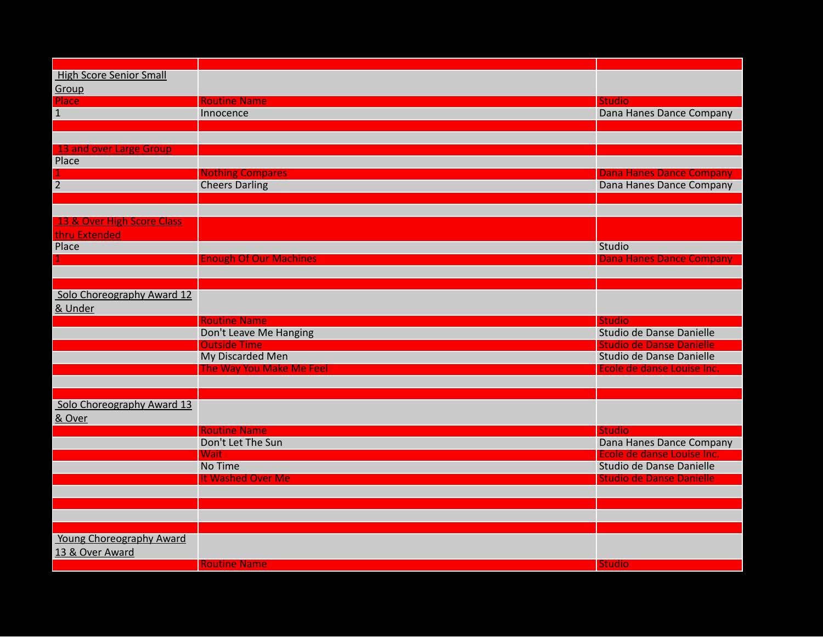| <b>High Score Senior Small</b> |                               |                                 |
|--------------------------------|-------------------------------|---------------------------------|
| Group                          |                               |                                 |
| Place                          | <b>Routine Name</b>           | <b>Studio</b>                   |
| $\mathbf{1}$                   | Innocence                     | Dana Hanes Dance Company        |
|                                |                               |                                 |
|                                |                               |                                 |
| 13 and over Large Group        |                               |                                 |
| Place                          |                               |                                 |
|                                | <b>Nothing Compares</b>       | <b>Dana Hanes Dance Company</b> |
| $\overline{2}$                 | <b>Cheers Darling</b>         | Dana Hanes Dance Company        |
|                                |                               |                                 |
|                                |                               |                                 |
| 13 & Over High Score Class     |                               |                                 |
| thru Extended                  |                               |                                 |
| Place                          |                               | Studio                          |
|                                | <b>Enough Of Our Machines</b> | <b>Dana Hanes Dance Company</b> |
|                                |                               |                                 |
|                                |                               |                                 |
| Solo Choreography Award 12     |                               |                                 |
| & Under                        |                               |                                 |
|                                | <b>Routine Name</b>           | <b>Studio</b>                   |
|                                | Don't Leave Me Hanging        | Studio de Danse Danielle        |
|                                | <b>Outside Time</b>           | <b>Studio de Danse Danielle</b> |
|                                | My Discarded Men              | Studio de Danse Danielle        |
|                                | The Way You Make Me Feel      | Ecole de danse Louise Inc.      |
|                                |                               |                                 |
|                                |                               |                                 |
| Solo Choreography Award 13     |                               |                                 |
| & Over                         |                               |                                 |
|                                | <b>Routine Name</b>           | <b>Studio</b>                   |
|                                | Don't Let The Sun             | Dana Hanes Dance Company        |
|                                | Wait                          | Ecole de danse Louise Inc.      |
|                                | No Time                       | Studio de Danse Danielle        |
|                                | It Washed Over Me             | <b>Studio de Danse Danielle</b> |
|                                |                               |                                 |
|                                |                               |                                 |
|                                |                               |                                 |
|                                |                               |                                 |
| Young Choreography Award       |                               |                                 |
| 13 & Over Award                |                               |                                 |
|                                | <b>Routine Name</b>           | <b>Studio</b>                   |